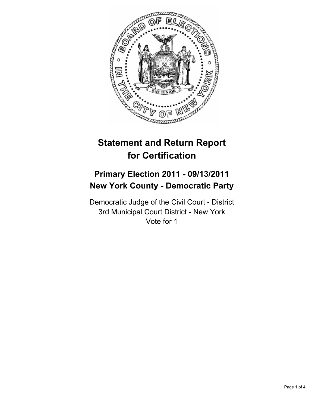

# **Statement and Return Report for Certification**

## **Primary Election 2011 - 09/13/2011 New York County - Democratic Party**

Democratic Judge of the Civil Court - District 3rd Municipal Court District - New York Vote for 1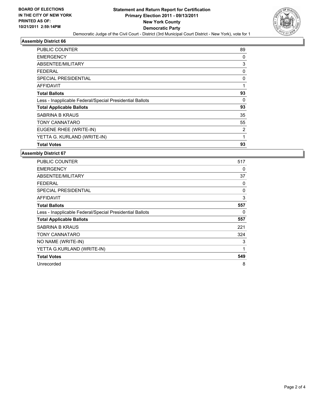

#### **Assembly District 66**

| <b>PUBLIC COUNTER</b>                                    | 89 |
|----------------------------------------------------------|----|
| <b>EMERGENCY</b>                                         | 0  |
| ABSENTEE/MILITARY                                        | 3  |
| FEDERAL                                                  | 0  |
| SPECIAL PRESIDENTIAL                                     | 0  |
| AFFIDAVIT                                                | 1  |
| <b>Total Ballots</b>                                     | 93 |
| Less - Inapplicable Federal/Special Presidential Ballots | 0  |
| <b>Total Applicable Ballots</b>                          | 93 |
| SABRINA B KRAUS                                          | 35 |
| <b>TONY CANNATARO</b>                                    | 55 |
| EUGENE RHEE (WRITE-IN)                                   | 2  |
| YETTA G. KURLAND (WRITE-IN)                              | 1  |
| <b>Total Votes</b>                                       | 93 |

#### **Assembly District 67**

| <b>PUBLIC COUNTER</b>                                    | 517 |
|----------------------------------------------------------|-----|
| <b>EMERGENCY</b>                                         | 0   |
| ABSENTEE/MILITARY                                        | 37  |
| <b>FEDERAL</b>                                           | 0   |
| <b>SPECIAL PRESIDENTIAL</b>                              | 0   |
| <b>AFFIDAVIT</b>                                         | 3   |
| <b>Total Ballots</b>                                     | 557 |
| Less - Inapplicable Federal/Special Presidential Ballots | 0   |
| <b>Total Applicable Ballots</b>                          | 557 |
| <b>SABRINA B KRAUS</b>                                   | 221 |
| <b>TONY CANNATARO</b>                                    | 324 |
| NO NAME (WRITE-IN)                                       | 3   |
| YETTA G.KURLAND (WRITE-IN)                               | 1   |
| <b>Total Votes</b>                                       | 549 |
| Unrecorded                                               | 8   |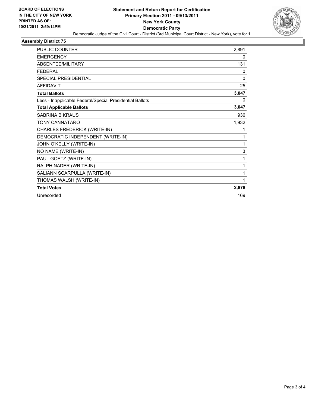

#### **Assembly District 75**

| <b>PUBLIC COUNTER</b>                                    | 2,891        |
|----------------------------------------------------------|--------------|
| <b>EMERGENCY</b>                                         | 0            |
| <b>ABSENTEE/MILITARY</b>                                 | 131          |
| <b>FFDFRAL</b>                                           | $\mathbf{0}$ |
| SPECIAL PRESIDENTIAL                                     | $\Omega$     |
| <b>AFFIDAVIT</b>                                         | 25           |
| <b>Total Ballots</b>                                     | 3,047        |
| Less - Inapplicable Federal/Special Presidential Ballots | 0            |
| <b>Total Applicable Ballots</b>                          | 3,047        |
| SABRINA B KRAUS                                          | 936          |
| <b>TONY CANNATARO</b>                                    | 1,932        |
| CHARLES FREDERICK (WRITE-IN)                             | 1            |
| DEMOCRATIC INDEPENDENT (WRITE-IN)                        | 1            |
| JOHN O'KELLY (WRITE-IN)                                  | 1            |
| NO NAME (WRITE-IN)                                       | 3            |
| PAUL GOETZ (WRITE-IN)                                    | 1            |
| RALPH NADER (WRITE-IN)                                   | 1            |
| SALIANN SCARPULLA (WRITE-IN)                             | 1            |
| THOMAS WALSH (WRITE-IN)                                  | 1            |
| <b>Total Votes</b>                                       | 2,878        |
| Unrecorded                                               | 169          |